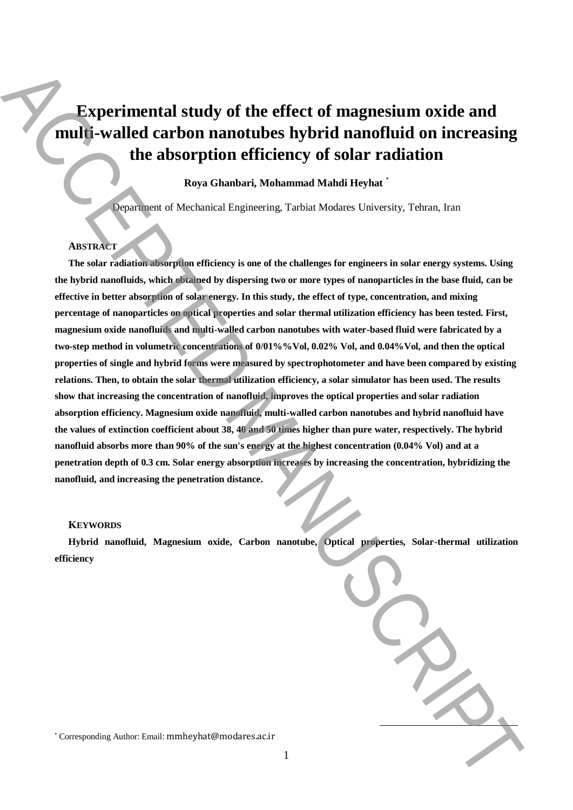# **Experimental study of the effect of magnesium oxide and multi-walled carbon nanotubes hybrid nanofluid on increasing the absorption efficiency of solar radiation**

## **Roya Ghanbari, Mohammad Mahdi Heyhat** \*

Department of Mechanical Engineering, Tarbiat Modares University, Tehran, Iran

### **ABSTRACT**

**The solar radiation absorption efficiency is one of the challenges for engineers in solar energy systems. Using the hybrid nanofluids, which obtained by dispersing two or more types of nanoparticles in the base fluid, can be effective in better absorption of solar energy. In this study, the effect of type, concentration, and mixing percentage of nanoparticles on optical properties and solar thermal utilization efficiency has been tested. First, magnesium oxide nanofluids and multi-walled carbon nanotubes with water-based fluid were fabricated by a two-step method in volumetric concentrations of 0/01%%Vol, 0.02% Vol, and 0.04%Vol, and then the optical properties of single and hybrid forms were measured by spectrophotometer and have been compared by existing relations. Then, to obtain the solar thermal utilization efficiency, a solar simulator has been used. The results show that increasing the concentration of nanofluid, improves the optical properties and solar radiation absorption efficiency. Magnesium oxide nanofluid, multi-walled carbon nanotubes and hybrid nanofluid have the values of extinction coefficient about 38, 40 and 50 times higher than pure water, respectively. The hybrid nanofluid absorbs more than 90% of the sun's energy at the highest concentration (0.04% Vol) and at a penetration depth of 0.3 cm. Solar energy absorption increases by increasing the concentration, hybridizing the nanofluid, and increasing the penetration distance.** Experimental study of the effect of magnesium oxide and<br>
multi-walled carbon nanofulse hybrid nanofulse in the main and the studies of the studies of the absorption of filtering  $\tau$  at the modal in increasing the accepti

#### **KEYWORDS**

**Hybrid nanofluid, Magnesium oxide, Carbon nanotube, Optical properties, Solar-thermal utilization efficiency**

1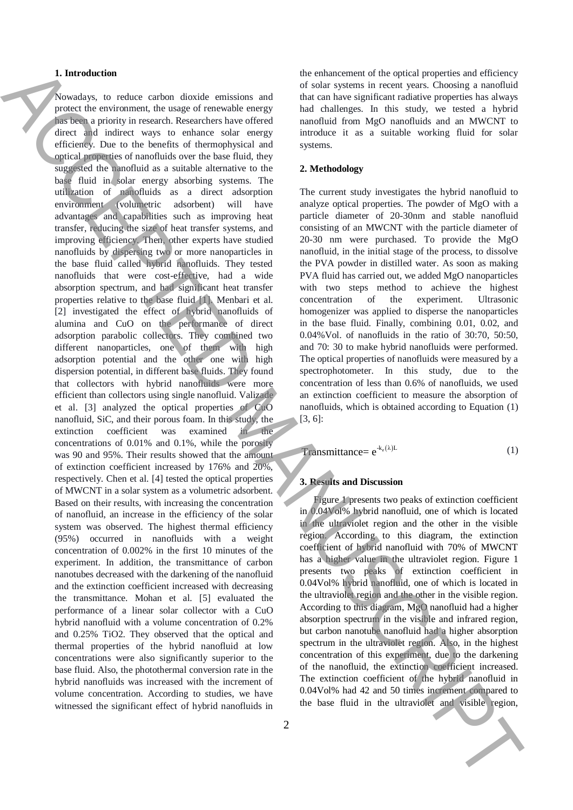#### **1. Introduction**

Nowadays, to reduce carbon dioxide emissions and protect the environment, the usage of renewable energy has been a priority in research. Researchers have offered direct and indirect ways to enhance solar energy efficiency. Due to the benefits of thermophysical and optical properties of nanofluids over the base fluid, they suggested the nanofluid as a suitable alternative to the base fluid in solar energy absorbing systems. The utilization of nanofluids as a direct adsorption environment (volumetric adsorbent) will have advantages and capabilities such as improving heat transfer, reducing the size of heat transfer systems, and improving efficiency. Then, other experts have studied nanofluids by dispersing two or more nanoparticles in the base fluid called hybrid nanofluids. They tested nanofluids that were cost-effective, had a wide absorption spectrum, and had significant heat transfer properties relative to the base fluid [1]. Menbari et al. [2] investigated the effect of hybrid nanofluids of alumina and CuO on the performance of direct adsorption parabolic collectors. They combined two different nanoparticles, one of them with high adsorption potential and the other one with high dispersion potential, in different base fluids. They found that collectors with hybrid nanofluids were more efficient than collectors using single nanofluid. Valizade et al. [3] analyzed the optical properties of CuO nanofluid, SiC, and their porous foam. In this study, the extinction coefficient was examined in the concentrations of 0.01% and 0.1%, while the porosity was 90 and 95%. Their results showed that the amount of extinction coefficient increased by 176% and 20%, respectively. Chen et al. [4] tested the optical properties of MWCNT in a solar system as a volumetric adsorbent. Based on their results, with increasing the concentration of nanofluid, an increase in the efficiency of the solar system was observed. The highest thermal efficiency (95%) occurred in nanofluids with a weight concentration of 0.002% in the first 10 minutes of the experiment. In addition, the transmittance of carbon nanotubes decreased with the darkening of the nanofluid and the extinction coefficient increased with decreasing the transmittance. Mohan et al. [5] evaluated the performance of a linear solar collector with a CuO hybrid nanofluid with a volume concentration of 0.2% and 0.25% TiO2. They observed that the optical and thermal properties of the hybrid nanofluid at low concentrations were also significantly superior to the base fluid. Also, the photothermal conversion rate in the hybrid nanofluids was increased with the increment of volume concentration. According to studies, we have witnessed the significant effect of hybrid nanofluids in The material contents in the spin of the spin of the spin of the spin of the spin of the spin of the spin of the spin of the spin of the spin of the spin of the spin of the spin of the spin of the spin of the spin of the

the enhancement of the optical properties and efficiency of solar systems in recent years. Choosing a nanofluid that can have significant radiative properties has always had challenges. In this study, we tested a hybrid nanofluid from MgO nanofluids and an MWCNT to introduce it as a suitable working fluid for solar systems.

### **2. Methodology**

The current study investigates the hybrid nanofluid to analyze optical properties. The powder of MgO with a particle diameter of 20-30nm and stable nanofluid consisting of an MWCNT with the particle diameter of 20-30 nm were purchased. To provide the MgO nanofluid, in the initial stage of the process, to dissolve the PVA powder in distilled water. As soon as making PVA fluid has carried out, we added MgO nanoparticles with two steps method to achieve the highest concentration of the experiment. Ultrasonic homogenizer was applied to disperse the nanoparticles in the base fluid. Finally, combining 0.01, 0.02, and 0.04%Vol. of nanofluids in the ratio of 30:70, 50:50, and 70: 30 to make hybrid nanofluids were performed. The optical properties of nanofluids were measured by a spectrophotometer. In this study, due to the concentration of less than 0.6% of nanofluids, we used an extinction coefficient to measure the absorption of nanofluids, which is obtained according to Equation (1) [3, 6]:

 $\text{Transmittance} = e^{k_e(\lambda)L}$ (1)

## **3. Results and Discussion**

Figure 1 presents two peaks of extinction coefficient in 0.04Vol% hybrid nanofluid, one of which is located in the ultraviolet region and the other in the visible region. According to this diagram, the extinction coefficient of hybrid nanofluid with 70% of MWCNT has a higher value in the ultraviolet region. Figure 1 presents two peaks of extinction coefficient in 0.04Vol% hybrid nanofluid, one of which is located in the ultraviolet region and the other in the visible region. According to this diagram, MgO nanofluid had a higher absorption spectrum in the visible and infrared region, but carbon nanotube nanofluid had a higher absorption spectrum in the ultraviolet region. Also, in the highest concentration of this experiment, due to the darkening of the nanofluid, the extinction coefficient increased. The extinction coefficient of the hybrid nanofluid in 0.04Vol% had 42 and 50 times increment compared to